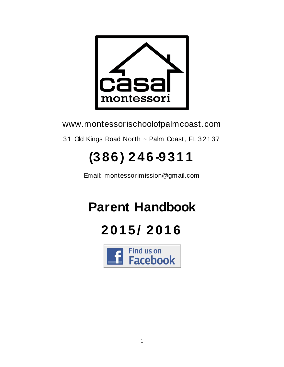

www.montessorischoolofpalmcoast.com

31 Old Kings Road North ~ Palm Coast, FL 32137

# **(386) 246 -9311**

Email: montessorimission@gmail.com

# **Parent Handbook**

## **2015/ 2016**

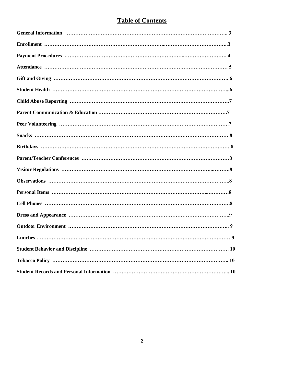## **Table of Contents**

| <b>Lunches</b><br>9 |
|---------------------|
|                     |
|                     |
|                     |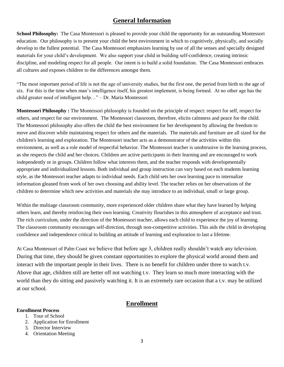## **General Information**

**School Philosophy:** The Casa Montessori is pleased to provide your child the opportunity for an outstanding Montessori education. Our philosophy is to present your child the best environment in which to cognitively, physically, and socially develop to the fullest potential. The Casa Montessori emphasizes learning by use of all the senses and specially designed materials for your child's development. We also support your child in building self-confidence, creating intrinsic discipline, and modeling respect for all people. Our intent is to build a solid foundation. The Casa Montessori embraces all cultures and exposes children to the differences amongst them.

"The most important period of life is not the age of university studies, but the first one, the period from birth to the age of six. For this is the time when man's intelligence itself, his greatest implement, is being formed. At no other age has the child greater need of intelligent help…" – Dr. Maria Montessori

**Montessori Philosophy :** The Montessori philosophy is founded on the principle of respect: respect for self, respect for others, and respect for our environment. The Montessori classroom, therefore, elicits calmness and peace for the child. The Montessori philosophy also offers the child the best environment for her development by allowing the freedom to move and discover while maintaining respect for others and the materials. The materials and furniture are all sized for the children's learning and exploration. The Montessori teacher acts as a demonstrator of the activities within this environment, as well as a role model of respectful behavior. The Montessori teacher is unobtrusive in the learning process, as she respects the child and her choices. Children are active participants in their learning and are encouraged to work independently or in groups. Children follow what interests them, and the teacher responds with developmentally appropriate and individualized lessons. Both individual and group instruction can vary based on each students learning style, as the Montessori teacher adapts to individual needs. Each child sets her own learning pace to internalize information gleaned from work of her own choosing and ability level. The teacher relies on her observations of the children to determine which new activities and materials she may introduce to an individual, small or large group.

Within the multiage classroom community, more experienced older children share what they have learned by helping others learn, and thereby reinforcing their own learning. Creativity flourishes in this atmosphere of acceptance and trust. The rich curriculum, under the direction of the Montessori teacher, allows each child to experience the joy of learning. The classroom community encourages self-direction, through non-competitive activities. This aids the child in developing confidence and independence critical to building an attitude of learning and exploration to last a lifetime.

At Casa Montessori of Palm Coast we believe that before age 3, children really shouldn't watch any television. During that time, they should be given constant opportunities to explore the physical world around them and interact with the important people in their lives. There is no benefit for children under three to watch t.v. Above that age, children still are better off not watching t.v. They learn so much more interacting with the world than they do sitting and passively watching it. It is an extremely rare occasion that a t.v. may be utilized at our school.

#### **Enrollment**

#### **Enrollment Process**

- 1. Tour of School
- 2. Application for Enrollment
- 3. Director Interview
- 4. Orientation Meeting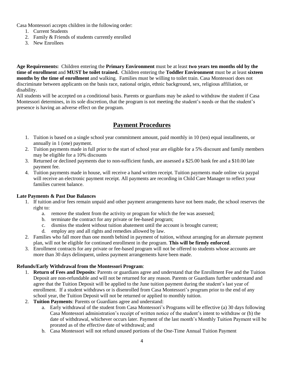Casa Montessori accepts children in the following order:

- 1. Current Students
- 2. Family & Friends of students currently enrolled
- 3. New Enrollees

**Age Requirements:** Children entering the **Primary Environment** must be at least **two years ten months old by the time of enrollment** and **MUST be toilet trained.** Children entering the **Toddler Environment** must be at least **sixteen months by the time of enrollment** and walking. Families must be willing to toilet train. Casa Montessori does not discriminate between applicants on the basis race, national origin, ethnic background, sex, religious affiliation, or disability.

All students will be accepted on a conditional basis. Parents or guardians may be asked to withdraw the student if Casa Montessori determines, in its sole discretion, that the program is not meeting the student's needs or that the student's presence is having an adverse effect on the program.

## **Payment Procedures**

- 1. Tuition is based on a single school year commitment amount, paid monthly in 10 (ten) equal installments, or annually in 1 (one) payment.
- 2. Tuition payments made in full prior to the start of school year are eligible for a 5% discount and family members may be eligible for a 10% discounts
- 3. Returned or declined payments due to non-sufficient funds, are assessed a \$25.00 bank fee and a \$10.00 late payment fee.
- 4. Tuition payments made in house, will receive a hand written receipt. Tuition payments made online via paypal will receive an electronic payment receipt. All payments are recording in Child Care Manager to reflect your families current balance.

#### **Late Payments & Past Due Balances**

- 1. If tuition and/or fees remain unpaid and other payment arrangements have not been made, the school reserves the right to:
	- a. remove the student from the activity or program for which the fee was assessed;
	- b. terminate the contract for any private or fee-based program;
	- c. dismiss the student without tuition abatement until the account is brought current;
	- d. employ any and all rights and remedies allowed by law.
- 2. Families who fall more than one month behind in payment of tuition, without arranging for an alternate payment plan, will not be eligible for continued enrollment in the program. **This will be firmly enforced**.
- 3. Enrollment contracts for any private or fee-based program will not be offered to students whose accounts are more than 30 days delinquent, unless payment arrangements have been made.

#### **Refunds/Early Withdrawal from the Montessori Program**:

- 1. **Return of Fees and Deposits**: Parents or guardians agree and understand that the Enrollment Fee and the Tuition Deposit are non-refundable and will not be returned for any reason. Parents or Guardians further understand and agree that the Tuition Deposit will be applied to the June tuition payment during the student's last year of enrollment. If a student withdraws or is disenrolled from Casa Montessori's program prior to the end of any school year, the Tuition Deposit will not be returned or applied to monthly tuition.
- 2. **Tuition Payments**: Parents or Guardians agree and understand:
	- a. Early withdrawal of the student from Casa Montessori's Programs will be effective (a) 30 days following Casa Montessori administration's receipt of written notice of the student's intent to withdraw or (b) the date of withdrawal, whichever occurs later. Payment of the last month's Monthly Tuition Payment will be prorated as of the effective date of withdrawal; and
	- b. Casa Montessori will not refund unused portions of the One-Time Annual Tuition Payment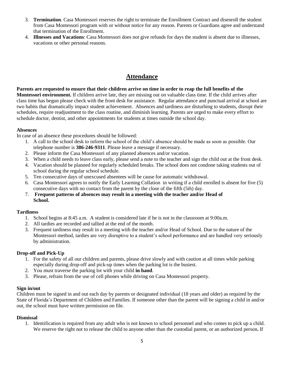- 3. **Termination**. Casa Montessori reserves the right to terminate the Enrollment Contract and disenroll the student from Casa Montessori program with or without notice for any reason. Parents or Guardians agree and understand that termination of the Enrollment.
- 4. **Illnesses and Vacations**: Casa Montessori does not give refunds for days the student is absent due to illnesses, vacations or other personal reasons.

## **Attendance**

**Parents are requested to ensure that their children arrive on time in order to reap the full benefits of the Montessori environment.** If children arrive late, they are missing out on valuable class time. If the child arrives after class time has begun please check with the front desk for assistance. Regular attendance and punctual arrival at school are two habits that dramatically impact student achievement. Absences and tardiness are disturbing to students, disrupt their schedules, require readjustment to the class routine, and diminish learning. Parents are urged to make every effort to schedule doctor, dentist, and other appointments for students at times outside the school day.

#### **Absences**

In case of an absence these procedures should be followed:

- 1. A call to the school desk to inform the school of the child's absence should be made as soon as possible. Our telephone number is **386-246-9311**. Please leave a message if necessary.
- 2. Please inform the Casa Montessori of any planned absences and/or vacation.
- 3. When a child needs to leave class early, please send a note to the teacher and sign the child out at the front desk.
- 4. Vacation should be planned for regularly scheduled breaks. The school does not condone taking students out of school during the regular school schedule.
- 5. Ten consecutive days of unexcused absentees will be cause for automatic withdrawal.
- 6. Casa Montessori agrees to notify the Early Learning Collation in writing if a child enrolled is absent for five (5) consecutive days with no contact from the parent by the close of the fifth (5th) day.
- 7. **Frequent patterns of absences may result in a meeting with the teacher and/or Head of School.**

#### **Tardiness**

- 1. School begins at 8:45 a.m. A student is considered late if he is not in the classroom at 9:00a.m.
- 2. All tardies are recorded and tallied at the end of the month.
- 3. Frequent tardiness may result in a meeting with the teacher and/or Head of School. Due to the nature of the Montessori method, tardies are very disruptive to a student's school performance and are handled very seriously by administration.

#### **Drop-off and Pick-Up**

- 1. For the safety of all our children and parents, please drive slowly and with caution at all times while parking especially during drop-off and pick-up times when the parking lot is the busiest.
- 2. You must traverse the parking lot with your child **in hand**.
- 3. Please, refrain from the use of cell phones while driving on Casa Montessori property.

#### **Sign in/out**

Children must be signed in and out each day by parents or designated individual (18 years and older) as required by the State of Florida's Department of Children and Families. If someone other than the parent will be signing a child in and/or out, the school must have written permission on file.

#### **Dismissal**

1. Identification is required from any adult who is not known to school personnel and who comes to pick up a child. We reserve the right not to release the child to anyone other than the custodial parent, or an authorized person**.** If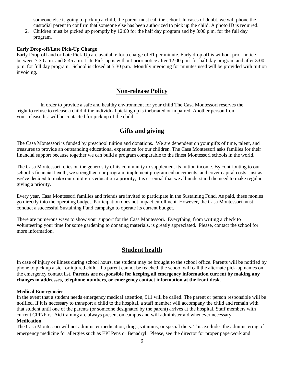someone else is going to pick up a child, the parent must call the school. In cases of doubt, we will phone the custodial parent to confirm that someone else has been authorized to pick up the child. A photo ID is required.

2. Children must be picked up promptly by 12:00 for the half day program and by 3:00 p.m. for the full day program.

#### **Early Drop-off/Late Pick-Up Charge**

Early Drop-off and or Late Pick-Up are available for a charge of \$1 per minute. Early drop off is without prior notice between 7:30 a.m. and 8:45 a.m. Late Pick-up is without prior notice after 12:00 p.m. for half day program and after 3:00 p.m. for full day program. School is closed at 5:30 p.m. Monthly invoicing for minutes used will be provided with tuition invoicing.

## **Non-release Policy**

In order to provide a safe and healthy environment for your child The Casa Montessori reserves the right to refuse to release a child if the individual picking up is inebriated or impaired. Another person from your release list will be contacted for pick up of the child.

## **Gifts and giving**

The Casa Montessori is funded by preschool tuition and donations. We are dependent on your gifts of time, talent, and treasures to provide an outstanding educational experience for our children. The Casa Montessori asks families for their financial support because together we can build a program comparable to the finest Montessori schools in the world.

The Casa Montessori relies on the generosity of its community to supplement its tuition income. By contributing to our school's financial health, we strengthen our program, implement program enhancements, and cover capital costs. Just as we've decided to make our children's education a priority, it is essential that we all understand the need to make regular giving a priority.

Every year, Casa Montessori families and friends are invited to participate in the Sustaining Fund. As paid, these monies go directly into the operating budget. Participation does not impact enrollment. However, the Casa Montessori must conduct a successful Sustaining Fund campaign to operate its current budget.

There are numerous ways to show your support for the Casa Montessori. Everything, from writing a check to volunteering your time for some gardening to donating materials, is greatly appreciated. Please, contact the school for more information.

#### **Student health**

In case of injury or illness during school hours, the student may be brought to the school office. Parents will be notified by phone to pick up a sick or injured child. If a parent cannot be reached, the school will call the alternate pick-up names on the emergency contact list. **Parents are responsible for keeping all emergency information current by making any changes in addresses, telephone numbers, or emergency contact information at the front desk.**

#### **Medical Emergencies**

In the event that a student needs emergency medical attention, 911 will be called. The parent or person responsible will be notified. If it is necessary to transport a child to the hospital, a staff member will accompany the child and remain with that student until one of the parents (or someone designated by the parent) arrives at the hospital. Staff members with current CPR/First Aid training are always present on campus and will administer aid whenever necessary. **Medication**

The Casa Montessori will not administer medication, drugs, vitamins, or special diets. This excludes the administering of emergency medicine for allergies such as EPI Pens or Benadryl. Please, see the director for proper paperwork and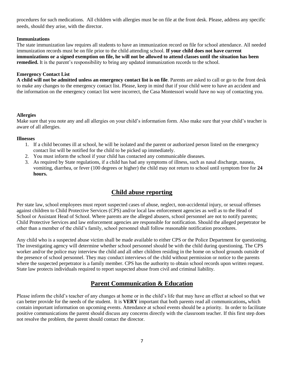procedures for such medications. All children with allergies must be on file at the front desk. Please, address any specific needs, should they arise, with the director.

#### **Immunizations**

The state immunization law requires all students to have an immunization record on file for school attendance. All needed immunization records must be on file prior to the child attending school. **If your child does not have current immunizations or a signed exemption on file, he will not be allowed to attend classes until the situation has been remedied.** It is the parent's responsibility to bring any updated immunization records to the school.

#### **Emergency Contact List**

**A child will not be admitted unless an emergency contact list is on file**. Parents are asked to call or go to the front desk to make any changes to the emergency contact list. Please, keep in mind that if your child were to have an accident and the information on the emergency contact list were incorrect, the Casa Montessori would have no way of contacting you.

#### **Allergies**

Make sure that you note any and all allergies on your child's information form. Also make sure that your child's teacher is aware of all allergies.

#### **Illnesses**

- 1. If a child becomes ill at school, he will be isolated and the parent or authorized person listed on the emergency contact list will be notified for the child to be picked up immediately.
- 2. You must inform the school if your child has contacted any communicable diseases.
- 3. As required by State regulations, if a child has had any symptoms of illness, such as nasal discharge, nausea, vomiting, diarrhea, or fever (100 degrees or higher) the child may not return to school until symptom free for **24 hours.**

## **Child abuse reporting**

Per state law, school employees must report suspected cases of abuse, neglect, non-accidental injury, or sexual offenses against children to Child Protective Services (CPS) and/or local law enforcement agencies as well as to the Head of School or Assistant Head of School. Where parents are the alleged abusers, school personnel are not to notify parents; Child Protective Services and law enforcement agencies are responsible for notification. Should the alleged perpetrator be other than a member of the child's family, school personnel shall follow reasonable notification procedures.

Any child who is a suspected abuse victim shall be made available to either CPS or the Police Department for questioning. The investigating agency will determine whether school personnel should be with the child during questioning. The CPS worker and/or the police may interview the child and all other children residing in the home on school grounds outside of the presence of school personnel. They may conduct interviews of the child without permission or notice to the parents where the suspected perpetrator is a family member. CPS has the authority to obtain school records upon written request. State law protects individuals required to report suspected abuse from civil and criminal liability.

## **Parent Communication & Education**

Please inform the child's teacher of any changes at home or in the child's life that may have an effect at school so that we can better provide for the needs of the student. It is **VERY** important that both parents read all communications**,** which contain important information on upcoming events. Attendance at school events should be a priority. In order to facilitate positive communications the parent should discuss any concerns directly with the classroom teacher. If this first step does not resolve the problem, the parent should contact the director.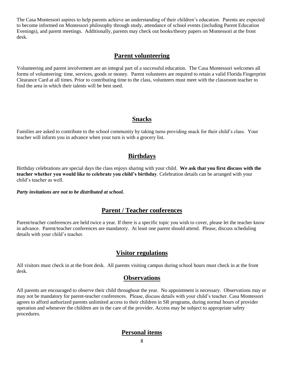The Casa Montessori aspires to help parents achieve an understanding of their children's education. Parents are expected to become informed on Montessori philosophy through study, attendance of school events (including Parent Education Evenings), and parent meetings. Additionally, parents may check out books/theory papers on Montessori at the front desk.

#### **Parent volunteering**

Volunteering and parent involvement are an integral part of a successful education. The Casa Montessori welcomes all forms of volunteering: time, services, goods or money. Parent volunteers are required to retain a valid Florida Fingerprint Clearance Card at all times. Prior to contributing time to the class, volunteers must meet with the classroom teacher to find the area in which their talents will be best used.

#### **Snacks**

Families are asked to contribute to the school community by taking turns providing snack for their child's class. Your teacher will inform you in advance when your turn is with a grocery list.

## **Birthdays**

Birthday celebrations are special days the class enjoys sharing with your child. **We ask that you first discuss with the teacher whether you would like to celebrate you child's birthday**. Celebration details can be arranged with your child's teacher as well.

*Party invitations are not to be distributed at school.*

## **Parent / Teacher conferences**

Parent/teacher conferences are held twice a year. If there is a specific topic you wish to cover, please let the teacher know in advance. Parent/teacher conferences are mandatory. At least one parent should attend. Please, discuss scheduling details with your child's teacher.

## **Visitor regulations**

All visitors must check in at the front desk. All parents visiting campus during school hours must check in at the front desk.

#### **Observations**

All parents are encouraged to observe their child throughout the year. No appointment is necessary. Observations may or may not be mandatory for parent-teacher conferences. Please, discuss details with your child's teacher. Casa Montessori agrees to afford authorized parents unlimited access to their children in SR programs, during normal hours of provider operation and whenever the children are in the care of the provider. Access may be subject to appropriate safety procedures.

## **Personal items**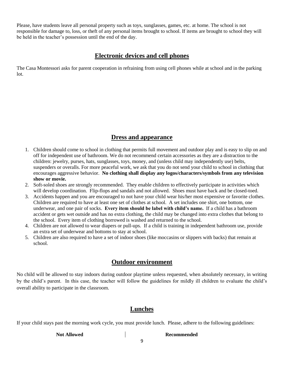Please, have students leave all personal property such as toys, sunglasses, games, etc. at home. The school is not responsible for damage to, loss, or theft of any personal items brought to school. If items are brought to school they will be held in the teacher's possession until the end of the day.

## **Electronic devices and cell phones**

The Casa Montessori asks for parent cooperation in refraining from using cell phones while at school and in the parking lot.

## **Dress and appearance**

- 1. Children should come to school in clothing that permits full movement and outdoor play and is easy to slip on and off for independent use of bathroom. We do not recommend certain accessories as they are a distraction to the children: jewelry, purses, hats, sunglasses, toys, money, and (unless child may independently use) belts, suspenders or overalls. For more peaceful work, we ask that you do not send your child to school in clothing that encourages aggressive behavior. **No clothing shall display any logos/characters/symbols from any television show or movie.**
- 2. Soft-soled shoes are strongly recommended. They enable children to effectively participate in activities which will develop coordination. Flip-flops and sandals and not allowed. Shoes must have back and be closed-toed.
- 3. Accidents happen and you are encouraged to not have your child wear his/her most expensive or favorite clothes. Children are required to have at least one set of clothes at school. A set includes one shirt, one bottom, one underwear, and one pair of socks. **Every item should be label with child's name.** If a child has a bathroom accident or gets wet outside and has no extra clothing, the child may be changed into extra clothes that belong to the school. Every item of clothing borrowed is washed and returned to the school.
- 4. Children are not allowed to wear diapers or pull-ups. If a child is training in independent bathroom use, provide an extra set of underwear and bottoms to stay at school.
- 5. Children are also required to have a set of indoor shoes (like moccasins or slippers with backs) that remain at school.

#### **Outdoor environment**

No child will be allowed to stay indoors during outdoor playtime unless requested, when absolutely necessary, in writing by the child's parent. In this case, the teacher will follow the guidelines for mildly ill children to evaluate the child's overall ability to participate in the classroom.

## **Lunches**

If your child stays past the morning work cycle, you must provide lunch. Please, adhere to the following guidelines:

**Not Allowed Recommended**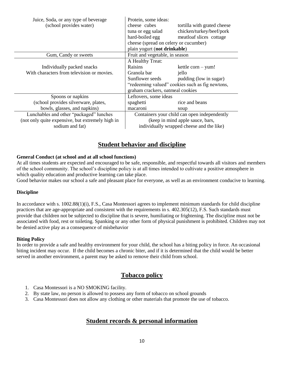| Juice, Soda, or any type of beverage<br>(school provides water)                                                | Protein, some ideas:<br>cheese cubes<br>tortilla with grated cheese<br>chicken/turkey/beef/pork<br>tuna or egg salad<br>hard-boiled egg<br>meatloaf slices cottage<br>cheese (spread on celery or cucumber)<br>plain yogurt (not drinkable) |
|----------------------------------------------------------------------------------------------------------------|---------------------------------------------------------------------------------------------------------------------------------------------------------------------------------------------------------------------------------------------|
| Gum, Candy or sweets                                                                                           | Fruit and vegetable, in season                                                                                                                                                                                                              |
| Individually packed snacks<br>With characters from television or movies.                                       | A Healthy Treat:<br>Raisins<br>$k$ ettle corn – yum!<br>Granola bar<br>jello<br>Sunflower seeds<br>pudding (low in sugar)<br>"redeeming valued" cookies such as fig newtons,<br>graham crackers, oatmeal cookies                            |
| Spoons or napkins                                                                                              | Leftovers, some ideas                                                                                                                                                                                                                       |
| (school provides silverware, plates,                                                                           | rice and beans<br>spaghetti                                                                                                                                                                                                                 |
| bowls, glasses, and napkins)                                                                                   | macaroni<br>soup                                                                                                                                                                                                                            |
| Lunchables and other "packaged" lunches<br>(not only quite expensive, but extremely high in<br>sodium and fat) | Containers your child can open independently<br>(keep in mind apple sauce, bars,<br>individually wrapped cheese and the like)                                                                                                               |

## **Student behavior and discipline**

#### **General Conduct (at school and at all school functions)**

At all times students are expected and encouraged to be safe, responsible, and respectful towards all visitors and members of the school community. The school's discipline policy is at all times intended to cultivate a positive atmosphere in which quality education and productive learning can take place.

Good behavior makes our school a safe and pleasant place for everyone, as well as an environment conducive to learning.

#### **Discipline**

In accordance with s. 1002.88(1)(i), F.S., Casa Montessori agrees to implement minimum standards for child discipline practices that are age-appropriate and consistent with the requirements in s. 402.305(12), F.S. Such standards must provide that children not be subjected to discipline that is severe, humiliating or frightening. The discipline must not be associated with food, rest or toileting. Spanking or any other form of physical punishment is prohibited. Children may not be denied active play as a consequence of misbehavior

#### **Biting Policy**

In order to provide a safe and healthy environment for your child, the school has a biting policy in force. An occasional biting incident may occur. If the child becomes a chronic biter, and if it is determined that the child would be better served in another environment, a parent may be asked to remove their child from school.

#### **Tobacco policy**

- 1. Casa Montessori is a NO SMOKING facility.
- 2. By state law, no person is allowed to possess any form of tobacco on school grounds
- 3. Casa Montessori does not allow any clothing or other materials that promote the use of tobacco.

## **Student records & personal information**